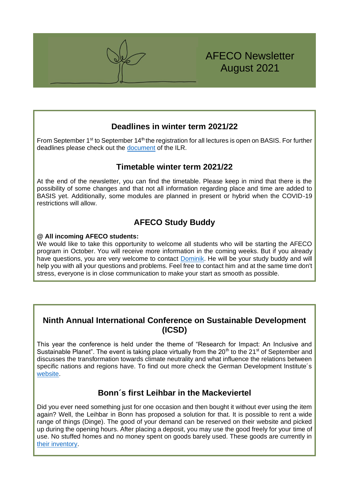

### **Deadlines in winter term 2021/22**

From September 1<sup>st</sup> to September 14<sup>th</sup> the registration for all lectures is open on BASIS. For further deadlines please check out the [document](https://www.lf.uni-bonn.de/en/studying/downloads/examination-office/deadlines/deadlines-wise-msc-afeco) of the ILR.

## **Timetable winter term 2021/22**

At the end of the newsletter, you can find the timetable. Please keep in mind that there is the possibility of some changes and that not all information regarding place and time are added to BASIS yet. Additionally, some modules are planned in present or hybrid when the COVID-19 restrictions will allow.

# **AFECO Study Buddy**

### **@ All incoming AFECO students:**

We would like to take this opportunity to welcome all students who will be starting the AFECO program in October. You will receive more information in the coming weeks. But if you already have questions, you are very welcome to contact [Dominik.](mailto:afecobuddy@ilr.uni-bonn.de) He will be your study buddy and will help you with all your questions and problems. Feel free to contact him and at the same time don't stress, everyone is in close communication to make your start as smooth as possible.

## **Ninth Annual International Conference on Sustainable Development (ICSD)**

This year the conference is held under the theme of "Research for Impact: An Inclusive and Sustainable Planet". The event is taking place virtually from the  $20<sup>th</sup>$  to the  $21<sup>st</sup>$  of September and discusses the transformation towards climate neutrality and what influence the relations between specific nations and regions have. To find out more check the German Development Institute's [website.](https://www.die-gdi.de/veranstaltungen/details/green-deal-approaches-and-the-transformation-of-external-relations/)

## **Bonn´s first Leihbar in the Mackeviertel**

Did you ever need something just for one occasion and then bought it without ever using the item again? Well, the Leihbar in Bonn has proposed a solution for that. It is possible to rent a wide range of things (Dinge). The good of your demand can be reserved on their website and picked up during the opening hours. After placing a deposit, you may use the good freely for your time of use. No stuffed homes and no money spent on goods barely used. These goods are currently in [their inventory.](https://leihbarbonn.de/dinge/)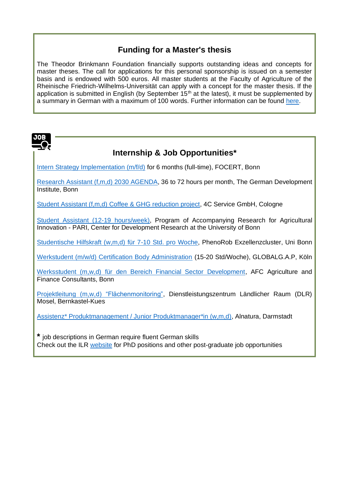# **Funding for a Master's thesis**

The Theodor Brinkmann Foundation financially supports outstanding ideas and concepts for master theses. The call for applications for this personal sponsorship is issued on a semester basis and is endowed with 500 euros. All master students at the Faculty of Agriculture of the Rheinische Friedrich-Wilhelms-Universität can apply with a concept for the master thesis. If the application is submitted in English (by September  $15<sup>th</sup>$  at the latest), it must be supplemented by a summary in German with a maximum of 100 words. Further information can be found [here.](https://www.theodor-brinkmann-stiftung.de/pdf/TBS-Plakatvorlage-Masterpreis2021-Herbst.pdf)



# **Internship & Job Opportunities\***

[Intern Strategy Implementation \(m/f/d\)](https://www.flocert.net/about-flocert/careers/?yid=536&sid=8b0d708045129a0b8e743874f3db5f26) for 6 months (full-time), FOCERT, Bonn

[Research Assistant \(f,m,d\) 2030 AGENDA,](https://www.die-gdi.de/en/about-us/career-internships/job-research-assistant-2030-agenda/) 36 to 72 hours per month, The German Development Institute, Bonn

[Student Assistant \(f,m,d\) Coffee & GHG reduction project,](https://www.4c-services.org/about/career/?jh=q92m5x9bbq715q8q1guy4ut82a1zcog) 4C Service GmbH, Cologne

[Student Assistant \(12-19 hours/week\),](https://www.zef.de/fileadmin/webfiles/downloads/vacancies/WHF-Position_PARI.pdf) Program of Accompanying Research for Agricultural Innovation - PARI, Center for Development Research at the University of Bonn

[Studentische Hilfskraft \(w,m,d\) für 7-10 Std. pro Woche,](https://www.hrz.uni-bonn.de/de/x-tra/anzeige/WHF_PhenoRob_Aug_2021.pdf) PhenoRob Exzellenzcluster, Uni Bonn

[Werkstudent \(m/w/d\) Certification Body Administration](https://jobs.globalgap.org/de?id=994103) (15-20 Std/Woche), GLOBALG.A.P, Köln

[Werksstudent \(m,w,d\) für den Bereich Financial Sector Development,](http://afci.de/jobs/werkstudent-mwd-fur-den-bereich-financial-sector-development-bei-afc-agriculture-finance) AFC Agriculture and Finance Consultants, Bonn

[Projektleitung \(m,w,d\) "Flächenmonitoring",](https://www.dlr-mosel.rlp.de/DLR-Mosel/Service/Stellenangebote/DLR-Rheinland-Pfalz/Dipl-IngbzwMScmwdFachrGeoinformatikGeographieAgrarwissenschaften) Dienstleistungszentrum Ländlicher Raum (DLR) Mosel, Bernkastel-Kues

[Assistenz\\* Produktmanagement / Junior Produktmanager\\*in \(w,m,d\),](https://stellenangebote.alnatura.de/Assistenz-Produktmanagement-Junior-Produktmanagerin-de-j8078.html) Alnatura, Darmstadt

**\*** job descriptions in German require fluent German skills Check out the ILR [website](https://www.ilr1.uni-bonn.de/de/jobs) for PhD positions and other post-graduate job opportunities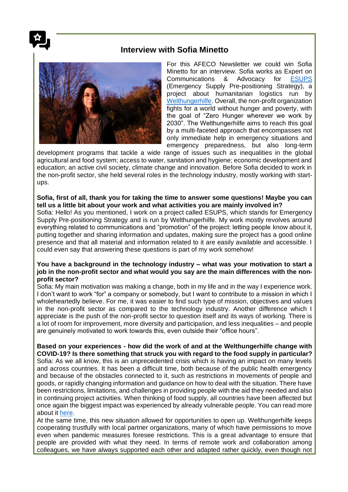

### **Interview with Sofia Minetto**



For this AFECO Newsletter we could win Sofia Minetto for an interview. Sofia works as Expert on Communications & Advocacy for [ESUPS](https://esups.org/) (Emergency Supply Pre-positioning Strategy), a project about humanitarian logistics run by [Welthungerhilfe.](https://www.welthungerhilfe.org/) Overall, the non-profit organization fights for a world without hunger and poverty, with the goal of "Zero Hunger wherever we work by 2030". The Welthungerhilfe aims to reach this goal by a multi-faceted approach that encompasses not only immediate help in emergency situations and emergency preparedness, but also long-term

development programs that tackle a wide range of issues such as inequalities in the global agricultural and food system; access to water, sanitation and hygiene; economic development and education; an active civil society, climate change and innovation. Before Sofia decided to work in the non-profit sector, she held several roles in the technology industry, mostly working with startups.

#### **Sofia, first of all, thank you for taking the time to answer some questions! Maybe you can tell us a little bit about your work and what activities you are mainly involved in?**

Sofia: Hello! As you mentioned, I work on a project called ESUPS, which stands for Emergency Supply Pre-positioning Strategy and is run by Welthungerhilfe. My work mostly revolves around everything related to communications and "promotion" of the project: letting people know about it, putting together and sharing information and updates, making sure the project has a good online presence and that all material and information related to it are easily available and accessible. I could even say that answering these questions is part of my work somehow!

#### **You have a background in the technology industry – what was your motivation to start a job in the non-profit sector and what would you say are the main differences with the nonprofit sector?**

Sofia: My main motivation was making a change, both in my life and in the way I experience work. I don't want to work "for" a company or somebody, but I want to contribute to a mission in which I wholeheartedly believe. For me, it was easier to find such type of mission, objectives and values in the non-profit sector as compared to the technology industry. Another difference which I appreciate is the push of the non-profit sector to question itself and its ways of working. There is a lot of room for improvement, more diversity and participation, and less inequalities – and people are genuinely motivated to work towards this, even outside their "office hours".

**Based on your experiences - how did the work of and at the Welthungerhilfe change with COVID-19? Is there something that struck you with regard to the food supply in particular?** Sofia: As we all know, this is an unprecedented crisis which is having an impact on many levels and across countries. It has been a difficult time, both because of the public health emergency and because of the obstacles connected to it, such as restrictions in movements of people and goods, or rapidly changing information and guidance on how to deal with the situation. There have been restrictions, limitations, and challenges in providing people with the aid they needed and also in continuing project activities. When thinking of food supply, all countries have been affected but once again the biggest impact was experienced by already vulnerable people. You can read more about it [here.](https://www.welthungerhilfe.org/coronavirus/coronavirus-consequences-for-worlds-poorest/)

At the same time, this new situation allowed for opportunities to open up. Welthungerhilfe keeps cooperating trustfully with local partner organizations, many of which have permissions to move even when pandemic measures foresee restrictions. This is a great advantage to ensure that people are provided with what they need. In terms of remote work and collaboration among colleagues, we have always supported each other and adapted rather quickly, even though not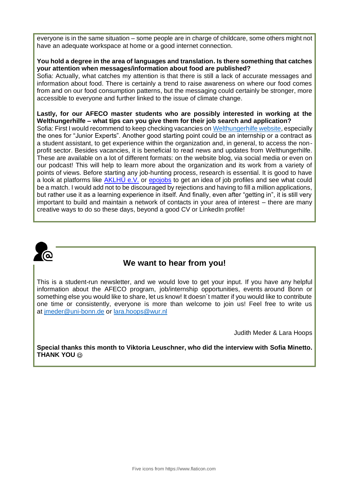everyone is in the same situation – some people are in charge of childcare, some others might not have an adequate workspace at home or a good internet connection.

#### **You hold a degree in the area of languages and translation. Is there something that catches your attention when messages/information about food are published?**

Sofia: Actually, what catches my attention is that there is still a lack of accurate messages and information about food. There is certainly a trend to raise awareness on where our food comes from and on our food consumption patterns, but the messaging could certainly be stronger, more accessible to everyone and further linked to the issue of climate change.

**Lastly, for our AFECO master students who are possibly interested in working at the Welthungerhilfe – what tips can you give them for their job search and application?** Sofia: First I would recommend to keep checking vacancies on [Welthungerhilfe website,](https://www.welthungerhilfe.org/) especially the ones for "Junior Experts". Another good starting point could be an internship or a contract as a student assistant, to get experience within the organization and, in general, to access the nonprofit sector. Besides vacancies, it is beneficial to read news and updates from Welthungerhilfe. These are available on a lot of different formats: on the website blog, via social media or even on our podcast! This will help to learn more about the organization and its work from a variety of points of views. Before starting any job-hunting process, research is essential. It is good to have a look at platforms like [AKLHÜ e.V.](https://eur02.safelinks.protection.outlook.com/?url=https%3A%2F%2Fwww.entwicklungsdienst.de%2Fstellenmarkt%2Ffachkraefte%2F&data=04%7C01%7C%7Cd6feddde70bb45b9b87608d963e8a6a9%7C63cc7b32ce06479f8bb47c34f49ab447%7C0%7C0%7C637650673141073439%7CUnknown%7CTWFpbGZsb3d8eyJWIjoiMC4wLjAwMDAiLCJQIjoiV2luMzIiLCJBTiI6Ik1haWwiLCJXVCI6Mn0%3D%7C1000&sdata=GDT2KriRI2UzOSvoqaKgVm9C31oJmQKJKCmyfIGyo5c%3D&reserved=0) or [epojobs](https://eur02.safelinks.protection.outlook.com/?url=https%3A%2F%2Fwww.epojobs.de%2F&data=04%7C01%7C%7Cd6feddde70bb45b9b87608d963e8a6a9%7C63cc7b32ce06479f8bb47c34f49ab447%7C0%7C0%7C637650673141073439%7CUnknown%7CTWFpbGZsb3d8eyJWIjoiMC4wLjAwMDAiLCJQIjoiV2luMzIiLCJBTiI6Ik1haWwiLCJXVCI6Mn0%3D%7C1000&sdata=pY3BfLbQW1H2ZQccS%2B66d5WSarl3JTl2dibkgodxFy0%3D&reserved=0) to get an idea of job profiles and see what could be a match. I would add not to be discouraged by rejections and having to fill a million applications, but rather use it as a learning experience in itself. And finally, even after "getting in", it is still very important to build and maintain a network of contacts in your area of interest – there are many creative ways to do so these days, beyond a good CV or LinkedIn profile!



### **We want to hear from you!**

This is a student-run newsletter, and we would love to get your input. If you have any helpful information about the AFECO program, job/internship opportunities, events around Bonn or something else you would like to share, let us know! It doesn´t matter if you would like to contribute one time or consistently, everyone is more than welcome to join us! Feel free to write us at [jmeder@uni-bonn.de](mailto:jmeder@uni-bonn.de) or [lara.hoops@wur.nl](mailto:lara.hoops@wur.nl)

Judith Meder & Lara Hoops

**Special thanks this month to Viktoria Leuschner, who did the interview with Sofia Minetto. THANK YOU**